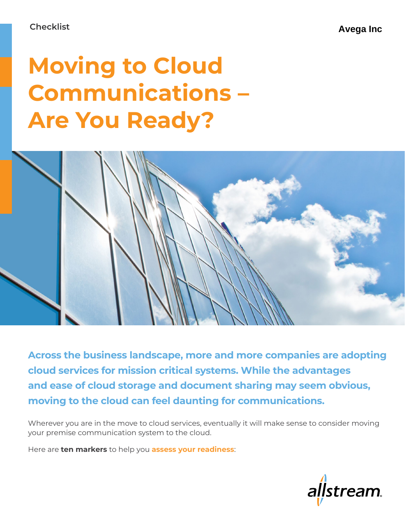# **Moving to Cloud Communications – Are You Ready?**



**Across the business landscape, more and more companies are adopting cloud services for mission critical systems. While the advantages and ease of cloud storage and document sharing may seem obvious, moving to the cloud can feel daunting for communications.** 

Wherever you are in the move to cloud services, eventually it will make sense to consider moving your premise communication system to the cloud.

Here are **ten markers** to help you **assess your readiness**:

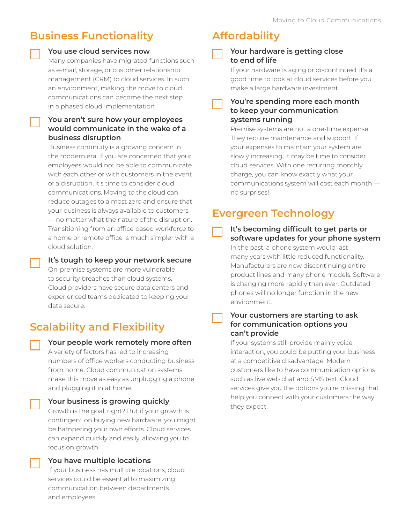# **Business Functionality**

### **You use cloud services now**

Many companies have migrated functions such as e-mail, storage, or customer relationship management (CRM) to cloud services. In such an environment, making the move to cloud communications can become the next step in a phased cloud implementation.

### **You aren't sure how your employees would communicate in the wake of a business disruption**

Business continuity is a growing concern in the modern era. If you are concerned that your employees would not be able to communicate with each other or with customers in the event of a disruption, it's time to consider cloud communications. Moving to the cloud can reduce outages to almost zero and ensure that your business is always available to customers — no matter what the nature of the disruption. Transitioning from an office based workforce to a home or remote office is much simpler with a cloud solution.

**It's tough to keep your network secure** On-premise systems are more vulnerable to security breaches than cloud systems. Cloud providers have secure data centers and experienced teams dedicated to keeping your

# **Scalability and Flexibility**

data secure.



**Your people work remotely more often**

A variety of factors has led to increasing numbers of office workers conducting business from home. Cloud communication systems make this move as easy as unplugging a phone and plugging it in at home.

### **Your business is growing quickly** Growth is the goal, right? But if your growth is contingent on buying new hardware, you might be hampering your own efforts. Cloud services can expand quickly and easily, allowing you to focus on growth.

**You have multiple locations** If your business has multiple locations, cloud services could be essential to maximizing communication between departments and employees.

### **Affordability**

### **Your hardware is getting close to end of life**

If your hardware is aging or discontinued, it's a good time to look at cloud services before you make a large hardware investment.

### **You're spending more each month to keep your communication systems running**

Premise systems are not a one-time expense. They require maintenance and support. If your expenses to maintain your system are slowly increasing, it may be time to consider cloud services. With one recurring monthly charge, you can know exactly what your communications system will cost each month no surprises!

## **Evergreen Technology**

### **It's becoming difficult to get parts or software updates for your phone system** In the past, a phone system would last many years with little reduced functionality. Manufacturers are now discontinuing entire product lines and many phone models. Software

is changing more rapidly than ever. Outdated phones will no longer function in the new environment.

### **Your customers are starting to ask for communication options you can't provide**

If your systems still provide mainly voice interaction, you could be putting your business at a competitive disadvantage. Modern customers like to have communication options such as live web chat and SMS text. Cloud services give you the options you're missing that help you connect with your customers the way they expect.